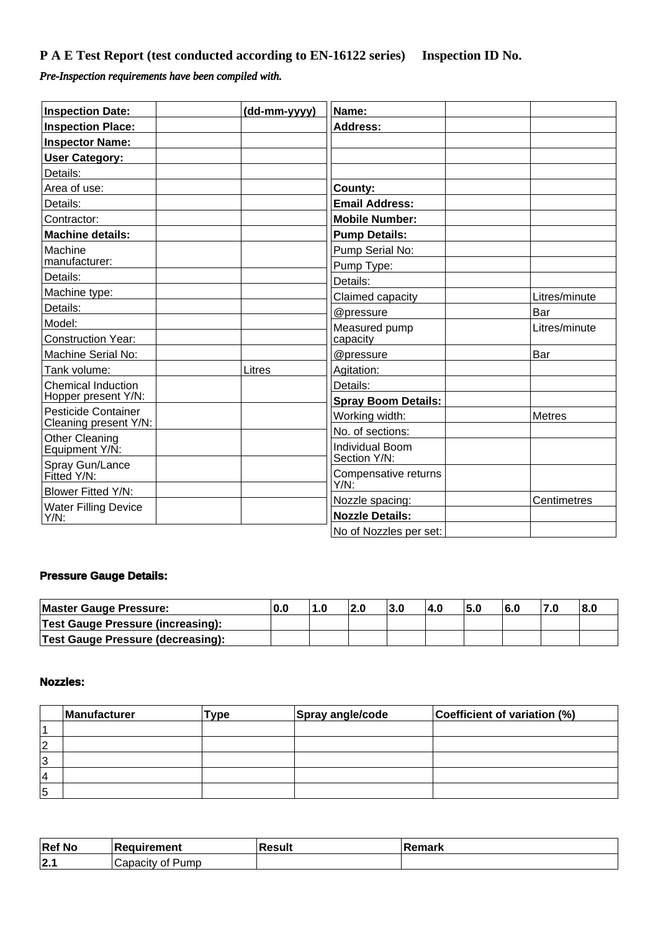# **P A E Test Report (test conducted according to EN-16122 series) Inspection ID No.**

## *Pre-Inspection requirements have been compiled with.*

| <b>Inspection Date:</b>                             | (dd-mm-yyyy) | Name:                        |               |
|-----------------------------------------------------|--------------|------------------------------|---------------|
| <b>Inspection Place:</b>                            |              | <b>Address:</b>              |               |
| <b>Inspector Name:</b>                              |              |                              |               |
| <b>User Category:</b>                               |              |                              |               |
| Details:                                            |              |                              |               |
| Area of use:                                        |              | County:                      |               |
| Details:                                            |              | <b>Email Address:</b>        |               |
| Contractor:                                         |              | <b>Mobile Number:</b>        |               |
| <b>Machine details:</b>                             |              | <b>Pump Details:</b>         |               |
| Machine                                             |              | Pump Serial No:              |               |
| manufacturer:                                       |              | Pump Type:                   |               |
| Details:                                            |              | Details:                     |               |
| Machine type:                                       |              | Claimed capacity             | Litres/minute |
| Details:                                            |              | @pressure                    | Bar           |
| Model:                                              |              | Measured pump                | Litres/minute |
| <b>Construction Year:</b>                           |              | capacity                     |               |
| Machine Serial No:                                  |              | @pressure                    | Bar           |
| Tank volume:                                        | Litres       | Agitation:                   |               |
| <b>Chemical Induction</b>                           |              | Details:                     |               |
| Hopper present Y/N:                                 |              | <b>Spray Boom Details:</b>   |               |
| <b>Pesticide Container</b><br>Cleaning present Y/N: |              | Working width:               | <b>Metres</b> |
| <b>Other Cleaning</b>                               |              | No. of sections:             |               |
| Equipment Y/N:                                      |              | Individual Boom              |               |
| Spray Gun/Lance                                     |              | Section Y/N:                 |               |
| Fitted Y/N:                                         |              | Compensative returns<br>Y/N: |               |
| Blower Fitted Y/N:                                  |              | Nozzle spacing:              | Centimetres   |
| <b>Water Filling Device</b>                         |              | <b>Nozzle Details:</b>       |               |
| $Y/N$ :                                             |              | No of Nozzles per set:       |               |

#### **Pressure Gauge Details:**

| Master Gauge Pressure:                   | -0.L | 1.0 | ა.u | $-4.0$ | ิว.บ | 7.U |  |
|------------------------------------------|------|-----|-----|--------|------|-----|--|
| <b>Test Gauge Pressure (increasing):</b> |      |     |     |        |      |     |  |
| <b>Test Gauge Pressure (decreasing):</b> |      |     |     |        |      |     |  |

#### **Nozzles:**

|    | Manufacturer | Type | Spray angle/code | Coefficient of variation (%) |
|----|--------------|------|------------------|------------------------------|
|    |              |      |                  |                              |
| 2  |              |      |                  |                              |
| 13 |              |      |                  |                              |
| 14 |              |      |                  |                              |
| 15 |              |      |                  |                              |

| <b>Ref No</b> | . Daanisamaant<br>nemt  | ⊹Rocult — | <b>≀emark</b> |
|---------------|-------------------------|-----------|---------------|
| ، دا<br>14. I | Pumc<br>'<br>01<br>۱۱۷. |           |               |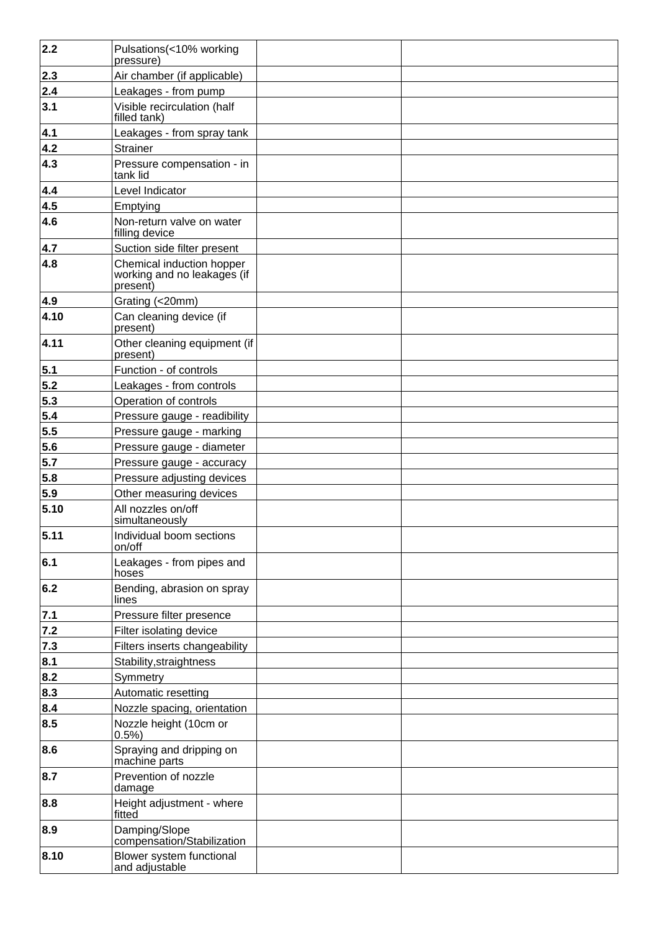| 2.2  | Pulsations(<10% working<br>pressure)                                 |
|------|----------------------------------------------------------------------|
| 2.3  | Air chamber (if applicable)                                          |
| 2.4  | Leakages - from pump                                                 |
| 3.1  | Visible recirculation (half<br>filled tank)                          |
| 4.1  | Leakages - from spray tank                                           |
| 4.2  | Strainer                                                             |
| 4.3  | Pressure compensation - in<br>tank lid                               |
| 4.4  | Level Indicator                                                      |
| 4.5  | Emptying                                                             |
| 4.6  | Non-return valve on water<br>filling device                          |
| 4.7  | Suction side filter present                                          |
| 4.8  | Chemical induction hopper<br>working and no leakages (if<br>present) |
| 4.9  | Grating (<20mm)                                                      |
| 4.10 | Can cleaning device (if<br>present)                                  |
| 4.11 | Other cleaning equipment (if<br>present)                             |
| 5.1  | Function - of controls                                               |
| 5.2  | Leakages - from controls                                             |
| 5.3  | Operation of controls                                                |
| 5.4  | Pressure gauge - readibility                                         |
| 5.5  | Pressure gauge - marking                                             |
| 5.6  | Pressure gauge - diameter                                            |
| 5.7  | Pressure gauge - accuracy                                            |
| 5.8  | Pressure adjusting devices                                           |
| 5.9  | Other measuring devices                                              |
| 5.10 | All nozzles on/off<br>simultaneously                                 |
| 5.11 | Individual boom sections<br>on/off                                   |
| 6.1  | Leakages - from pipes and<br>hoses                                   |
| 6.2  | Bending, abrasion on spray<br>lines                                  |
| 7.1  | Pressure filter presence                                             |
| 7.2  | Filter isolating device                                              |
| 7.3  | Filters inserts changeability                                        |
| 8.1  | Stability, straightness                                              |
| 8.2  | Symmetry                                                             |
| 8.3  | Automatic resetting                                                  |
| 8.4  | Nozzle spacing, orientation                                          |
| 8.5  | Nozzle height (10cm or<br>0.5%                                       |
| 8.6  | Spraying and dripping on<br>machine parts                            |
| 8.7  | Prevention of nozzle<br>damage                                       |
| 8.8  | Height adjustment - where<br>fitted                                  |
| 8.9  | Damping/Slope<br>compensation/Stabilization                          |
| 8.10 | Blower system functional<br>and adjustable                           |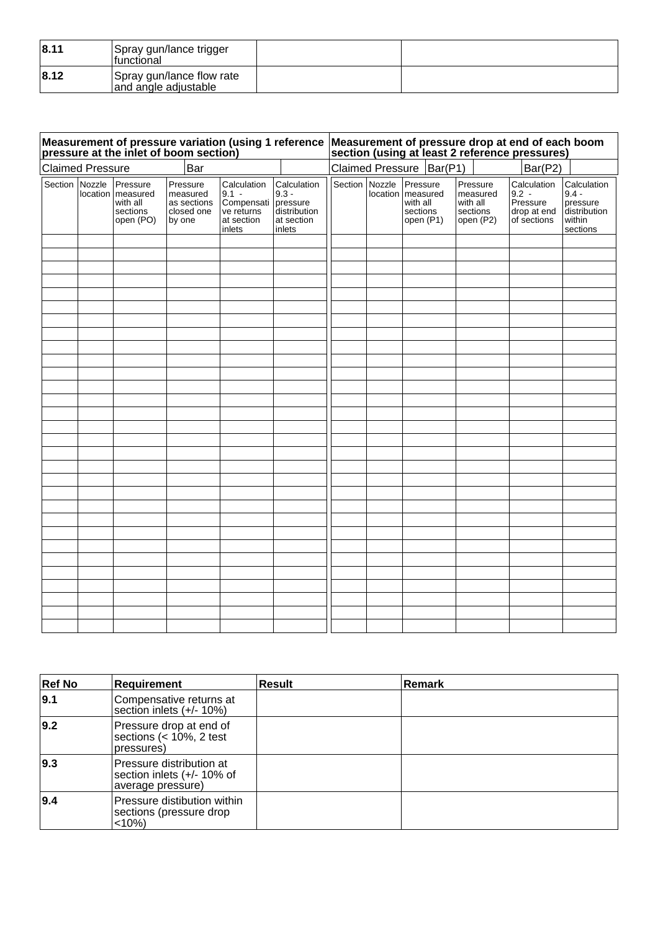| 8.11 | Spray gun/lance trigger<br>Ifunctional            |  |
|------|---------------------------------------------------|--|
| 8.12 | Spray gun/lance flow rate<br>and angle adjustable |  |

|                         |          | pressure at the inlet of boom section)                    |                                                             |                                                                            |                                                                            |                |                                                                      |                                                           | Measurement of pressure variation (using 1 reference Measurement of pressure drop at end of each boom<br>section (using at least 2 reference pressures) |                                                                          |
|-------------------------|----------|-----------------------------------------------------------|-------------------------------------------------------------|----------------------------------------------------------------------------|----------------------------------------------------------------------------|----------------|----------------------------------------------------------------------|-----------------------------------------------------------|---------------------------------------------------------------------------------------------------------------------------------------------------------|--------------------------------------------------------------------------|
| <b>Claimed Pressure</b> |          |                                                           | Bar                                                         |                                                                            |                                                                            |                | Claimed Pressure   Bar(P1)                                           |                                                           | Bar(P2)                                                                                                                                                 |                                                                          |
| Section Nozzle          | location | Pressure<br>measured<br>with all<br>sections<br>open (PO) | Pressure<br>measured<br>as sections<br>closed one<br>by one | Calculation<br>$9.1 -$<br>Compensati<br>ve returns<br>at section<br>inlets | Calculation<br>$9.3 -$<br>pressure<br>distribution<br>at section<br>inlets | Section Nozzle | Pressure<br>location   measured<br>with all<br>sections<br>open (P1) | Pressure<br>measured<br>with all<br>sections<br>open (P2) | Calculation<br>$9.2 -$<br>Pressure<br>drop at end<br>of sections                                                                                        | Calculation<br>$9.4 -$<br>pressure<br>distribution<br>within<br>sections |
|                         |          |                                                           |                                                             |                                                                            |                                                                            |                |                                                                      |                                                           |                                                                                                                                                         |                                                                          |
|                         |          |                                                           |                                                             |                                                                            |                                                                            |                |                                                                      |                                                           |                                                                                                                                                         |                                                                          |
|                         |          |                                                           |                                                             |                                                                            |                                                                            |                |                                                                      |                                                           |                                                                                                                                                         |                                                                          |
|                         |          |                                                           |                                                             |                                                                            |                                                                            |                |                                                                      |                                                           |                                                                                                                                                         |                                                                          |
|                         |          |                                                           |                                                             |                                                                            |                                                                            |                |                                                                      |                                                           |                                                                                                                                                         |                                                                          |
|                         |          |                                                           |                                                             |                                                                            |                                                                            |                |                                                                      |                                                           |                                                                                                                                                         |                                                                          |
|                         |          |                                                           |                                                             |                                                                            |                                                                            |                |                                                                      |                                                           |                                                                                                                                                         |                                                                          |
|                         |          |                                                           |                                                             |                                                                            |                                                                            |                |                                                                      |                                                           |                                                                                                                                                         |                                                                          |
|                         |          |                                                           |                                                             |                                                                            |                                                                            |                |                                                                      |                                                           |                                                                                                                                                         |                                                                          |
|                         |          |                                                           |                                                             |                                                                            |                                                                            |                |                                                                      |                                                           |                                                                                                                                                         |                                                                          |
|                         |          |                                                           |                                                             |                                                                            |                                                                            |                |                                                                      |                                                           |                                                                                                                                                         |                                                                          |
|                         |          |                                                           |                                                             |                                                                            |                                                                            |                |                                                                      |                                                           |                                                                                                                                                         |                                                                          |
|                         |          |                                                           |                                                             |                                                                            |                                                                            |                |                                                                      |                                                           |                                                                                                                                                         |                                                                          |
|                         |          |                                                           |                                                             |                                                                            |                                                                            |                |                                                                      |                                                           |                                                                                                                                                         |                                                                          |
|                         |          |                                                           |                                                             |                                                                            |                                                                            |                |                                                                      |                                                           |                                                                                                                                                         |                                                                          |
|                         |          |                                                           |                                                             |                                                                            |                                                                            |                |                                                                      |                                                           |                                                                                                                                                         |                                                                          |
|                         |          |                                                           |                                                             |                                                                            |                                                                            |                |                                                                      |                                                           |                                                                                                                                                         |                                                                          |
|                         |          |                                                           |                                                             |                                                                            |                                                                            |                |                                                                      |                                                           |                                                                                                                                                         |                                                                          |
|                         |          |                                                           |                                                             |                                                                            |                                                                            |                |                                                                      |                                                           |                                                                                                                                                         |                                                                          |
|                         |          |                                                           |                                                             |                                                                            |                                                                            |                |                                                                      |                                                           |                                                                                                                                                         |                                                                          |
|                         |          |                                                           |                                                             |                                                                            |                                                                            |                |                                                                      |                                                           |                                                                                                                                                         |                                                                          |
|                         |          |                                                           |                                                             |                                                                            |                                                                            |                |                                                                      |                                                           |                                                                                                                                                         |                                                                          |
|                         |          |                                                           |                                                             |                                                                            |                                                                            |                |                                                                      |                                                           |                                                                                                                                                         |                                                                          |
|                         |          |                                                           |                                                             |                                                                            |                                                                            |                |                                                                      |                                                           |                                                                                                                                                         |                                                                          |
|                         |          |                                                           |                                                             |                                                                            |                                                                            |                |                                                                      |                                                           |                                                                                                                                                         |                                                                          |
|                         |          |                                                           |                                                             |                                                                            |                                                                            |                |                                                                      |                                                           |                                                                                                                                                         |                                                                          |
|                         |          |                                                           |                                                             |                                                                            |                                                                            |                |                                                                      |                                                           |                                                                                                                                                         |                                                                          |

| <b>Ref No</b> | Requirement                                                                 | <b>Result</b> | Remark |
|---------------|-----------------------------------------------------------------------------|---------------|--------|
| 9.1           | Compensative returns at<br>section inlets (+/- 10%)                         |               |        |
| 9.2           | Pressure drop at end of<br>sections $(< 10\%$ , 2 test<br>pressures)        |               |        |
| 9.3           | Pressure distribution at<br>section inlets (+/- 10% of<br>average pressure) |               |        |
| 9.4           | Pressure distibution within<br>sections (pressure drop<br><10%              |               |        |